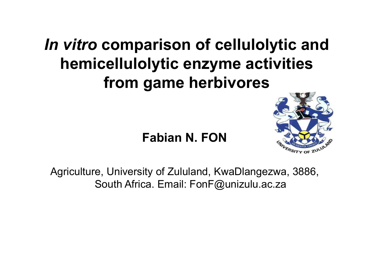## *In vitro* **comparison of cellulolytic and hemicellulolytic enzyme activities from game herbivores**



#### **Fabian N. FON**

Agriculture, University of Zululand, KwaDlangezwa, 3886, South Africa. Email: FonF@unizulu.ac.za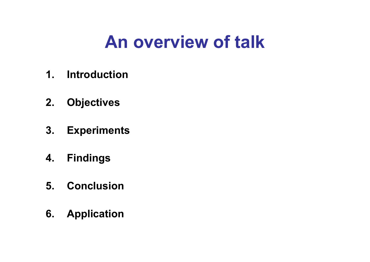# **An overview of talk**

- **1. Introduction**
- **2. Objectives**
- **3. Experiments**
- **4. Findings**
- **5. Conclusion**
- **6. Application**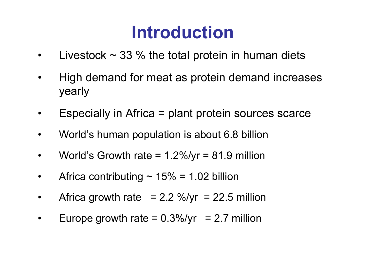# **Introduction**

- $\bullet$ Livestock  $\sim$  33 % the total protein in human diets
- • High demand for meat as protein demand increases yearly
- •Especially in Africa = plant protein sources scarce
- •World's human population is about 6.8 billion
- •World's Growth rate  $= 1.2\%$ /yr  $= 81.9$  million
- •Africa contributing  $\sim$  15% = 1.02 billion
- •Africa growth rate =  $2.2 \frac{\%}{\mathrm{yr}} = 22.5 \text{ million}$
- •Europe growth rate  $= 0.3\frac{\nu}{\nu r} = 2.7$  million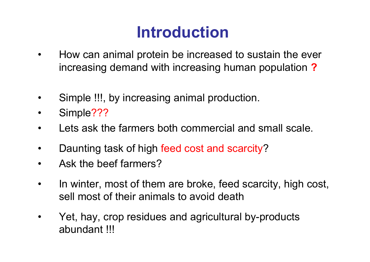## **Introduction**

- • How can animal protein be increased to sustain the ever increasing demand with increasing human population **?**
- •Simple !!!, by increasing animal production.
- •Simple???
- $\bullet$ Lets ask the farmers both commercial and small scale.
- •Daunting task of high feed cost and scarcity?
- $\bullet$ Ask the beef farmers?
- • In winter, most of them are broke, feed scarcity, high cost, sell most of their animals to avoid death
- • Yet, hay, crop residues and agricultural by-products abundant !!!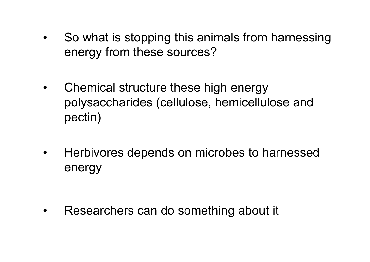- $\bullet$  So what is stopping this animals from harnessing energy from these sources?
- $\bullet$  Chemical structure these high energy polysaccharides (cellulose, hemicellulose and pectin)
- $\bullet$  Herbivores depends on microbes to harnessed energy

•Researchers can do something about it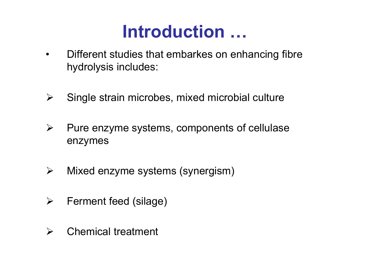## **Introduction …**

- • Different studies that embarkes on enhancing fibre hydrolysis includes:
- $\blacktriangleright$ Single strain microbes, mixed microbial culture
- $\blacktriangleright$  Pure enzyme systems, components of cellulase enzymes
- $\blacktriangleright$ Mixed enzyme systems (synergism)
- $\blacktriangleright$ Ferment feed (silage)
- $\blacktriangleright$ Chemical treatment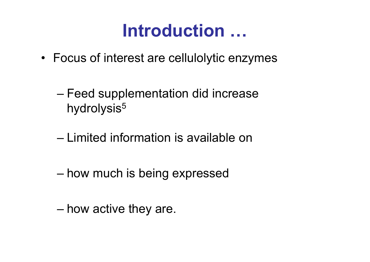## **Introduction …**

- Focus of interest are cellulolytic enzymes
	- and the state of the state Feed supplementation did increase hydrolysis<sup>5</sup>
	- Limited information is available on
	- –how much is being expressed
	- –how active they are.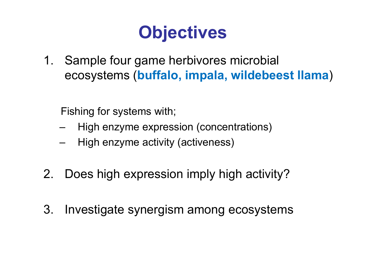# **Objectives**

1. Sample four game herbivores microbial ecosystems (**buffalo, impala, wildebeest llama**)

Fishing for systems with;

- High enzyme expression (concentrations)
- High enzyme activity (activeness)
- 2. Does high expression imply high activity?
- 3. Investigate synergism among ecosystems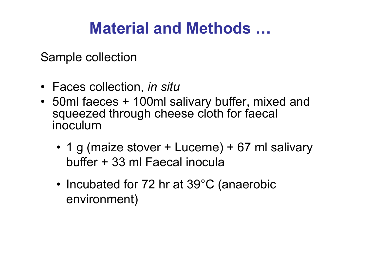Sample collection

- Faces collection, *in situ*
- 50ml faeces + 100ml salivary buffer, mixed and squeezed through cheese cloth for faecal inoculum
	- 1 g (maize stover + Lucerne) + 67 ml salivary buffer + 33 ml Faecal inocula
	- Incubated for 72 hr at 39°C (anaerobic environment)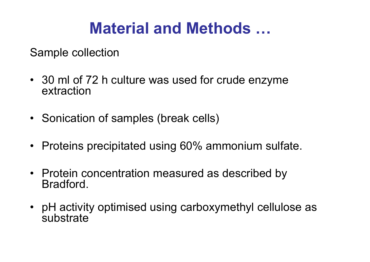Sample collection

- 30 ml of 72 h culture was used for crude enzyme extraction
- Sonication of samples (break cells)
- Proteins precipitated using 60% ammonium sulfate.
- Protein concentration measured as described by Bradford.
- pH activity optimised using carboxymethyl cellulose as **substrate**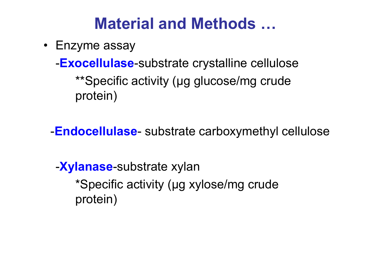• Enzyme assay

-**Exocellulase**-substrate crystalline cellulose \*\*Specific activity (µg glucose/mg crude protein)

-**Endocellulase**- substrate carboxymethyl cellulose

-**Xylanase**-substrate xylan \*Specific activity (µg xylose/mg crude protein)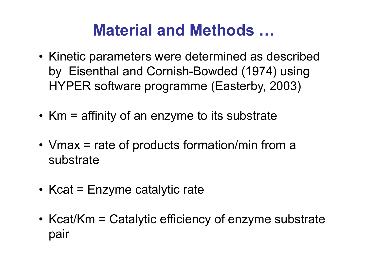- Kinetic parameters were determined as described by Eisenthal and Cornish-Bowded (1974) using HYPER software programme (Easterby, 2003)
- Km = affinity of an enzyme to its substrate
- Vmax = rate of products formation/min from a substrate
- Kcat = Enzyme catalytic rate
- Kcat/Km = Catalytic efficiency of enzyme substrate pair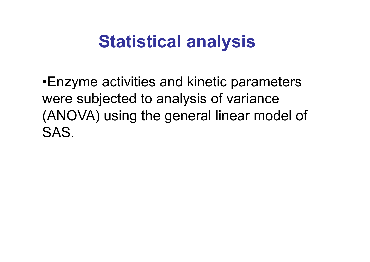## **Statistical analysis**

•Enzyme activities and kinetic parameters were subjected to analysis of variance (ANOVA) using the general linear model of SAS.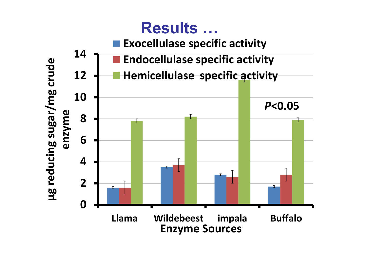### **Results …**

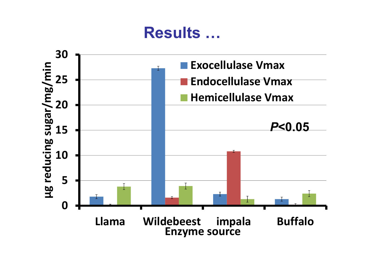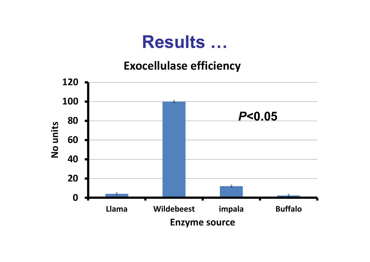#### **Exocellulase efficiency**

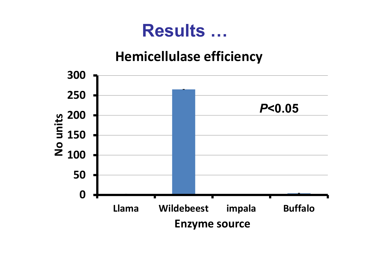#### **Hemicellulase efficiency**

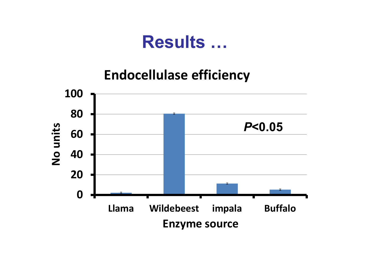**Endocellulase efficiency** 

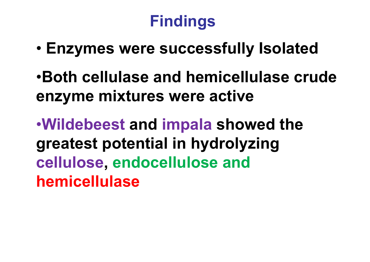## **Findings**

- •**Enzymes were successfully Isolated**
- •**Both cellulase and hemicellulase crude enzyme mixtures were active**

•**Wildebeest and impala showed the greatest potential in hydrolyzing cellulose, endocellulose and hemicellulase**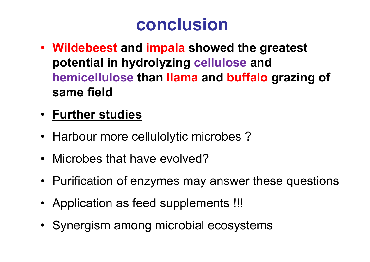# **conclusion**

- **Wildebeest and impala showed the greatest potential in hydrolyzing cellulose and hemicellulose than llama and buffalo grazing of same field**
- **Further studies**
- Harbour more cellulolytic microbes ?
- Microbes that have evolved?
- Purification of enzymes may answer these questions
- Application as feed supplements !!!
- Synergism among microbial ecosystems